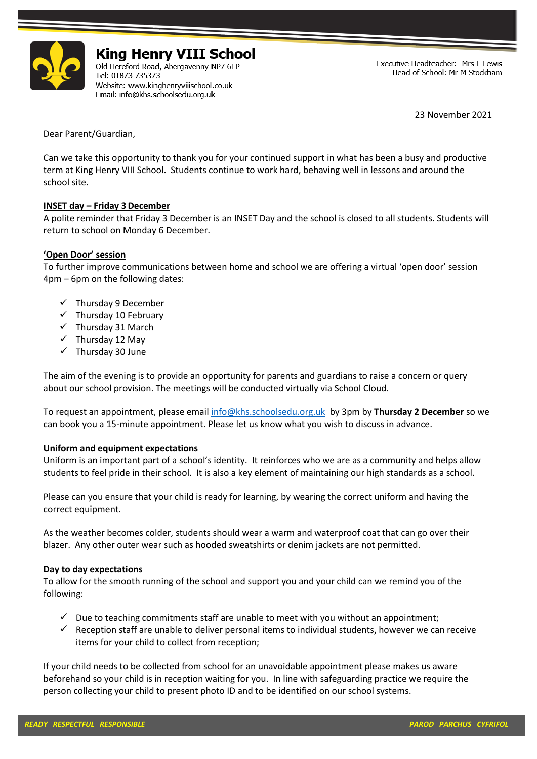

# **King Henry VIII School**

Old Hereford Road, Abergavenny NP7 6EP Tel: 01873 735373 Website: www.kinghenryviiischool.co.uk Email: info@khs.schoolsedu.org.uk

Executive Headteacher: Mrs E Lewis Head of School: Mr M Stockham

23 November 2021

Dear Parent/Guardian,

Can we take this opportunity to thank you for your continued support in what has been a busy and productive term at King Henry VIII School. Students continue to work hard, behaving well in lessons and around the school site.

## **INSET day – Friday 3December**

A polite reminder that Friday 3 December is an INSET Day and the school is closed to all students. Students will return to school on Monday 6 December.

## **'Open Door' session**

To further improve communications between home and school we are offering a virtual 'open door' session 4pm – 6pm on the following dates:

- $\checkmark$  Thursday 9 December
- $\checkmark$  Thursday 10 February
- ✓ Thursday 31 March
- ✓ Thursday 12 May
- ✓ Thursday 30 June

The aim of the evening is to provide an opportunity for parents and guardians to raise a concern or query about our school provision. The meetings will be conducted virtually via School Cloud.

To request an appointment, please email [info@khs.schoolsedu.org.uk](mailto:Head.CroesyceiliogComp@Torfaen.gov.uk) by 3pm by **Thursday 2 December** so we can book you a 15-minute appointment. Please let us know what you wish to discuss in advance.

#### **Uniform and equipment expectations**

Uniform is an important part of a school's identity. It reinforces who we are as a community and helps allow students to feel pride in their school. It is also a key element of maintaining our high standards as a school.

Please can you ensure that your child is ready for learning, by wearing the correct uniform and having the correct equipment.

As the weather becomes colder, students should wear a warm and waterproof coat that can go over their blazer. Any other outer wear such as hooded sweatshirts or denim jackets are not permitted.

#### **Day to day expectations**

To allow for the smooth running of the school and support you and your child can we remind you of the following:

- $\checkmark$  Due to teaching commitments staff are unable to meet with you without an appointment;
- $\checkmark$  Reception staff are unable to deliver personal items to individual students, however we can receive items for your child to collect from reception;

If your child needs to be collected from school for an unavoidable appointment please makes us aware beforehand so your child is in reception waiting for you. In line with safeguarding practice we require the person collecting your child to present photo ID and to be identified on our school systems.